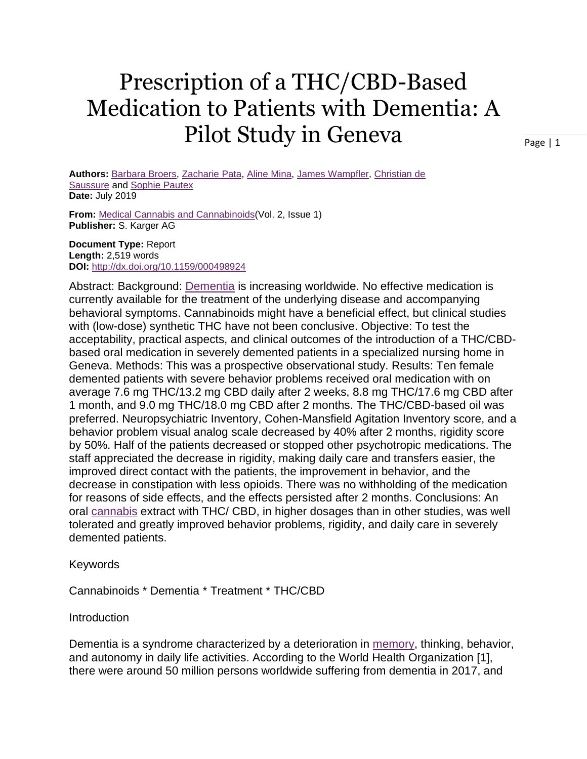# Prescription of a THC/CBD-Based Medication to Patients with Dementia: A Pilot Study in Geneva

Page | 1

**Authors:** [Barbara](https://go.gale.com/ps/advancedSearch.do?method=doSearch&searchType=AdvancedSearchForm&userGroupName=uphoenix&inputFieldNames%5b0%5d=AU&prodId=AONE&inputFieldValues%5b0%5d=%22Barbara+Broers%22) Broers, [Zacharie](https://go.gale.com/ps/advancedSearch.do?method=doSearch&searchType=AdvancedSearchForm&userGroupName=uphoenix&inputFieldNames%5b0%5d=AU&prodId=AONE&inputFieldValues%5b0%5d=%22Zacharie+Pata%22) Pata, Aline [Mina,](https://go.gale.com/ps/advancedSearch.do?method=doSearch&searchType=AdvancedSearchForm&userGroupName=uphoenix&inputFieldNames%5b0%5d=AU&prodId=AONE&inputFieldValues%5b0%5d=%22Aline+Mina%22) James [Wampfler,](https://go.gale.com/ps/advancedSearch.do?method=doSearch&searchType=AdvancedSearchForm&userGroupName=uphoenix&inputFieldNames%5b0%5d=AU&prodId=AONE&inputFieldValues%5b0%5d=%22James+Wampfler%22) [Christian](https://go.gale.com/ps/advancedSearch.do?method=doSearch&searchType=AdvancedSearchForm&userGroupName=uphoenix&inputFieldNames%5b0%5d=AU&prodId=AONE&inputFieldValues%5b0%5d=%22Christian+de+Saussure%22) de [Saussure](https://go.gale.com/ps/advancedSearch.do?method=doSearch&searchType=AdvancedSearchForm&userGroupName=uphoenix&inputFieldNames%5b0%5d=AU&prodId=AONE&inputFieldValues%5b0%5d=%22Christian+de+Saussure%22) and Sophie [Pautex](https://go.gale.com/ps/advancedSearch.do?method=doSearch&searchType=AdvancedSearchForm&userGroupName=uphoenix&inputFieldNames%5b0%5d=AU&prodId=AONE&inputFieldValues%5b0%5d=%22Sophie+Pautex%22) **Date:** July 2019

**From:** Medical Cannabis and [Cannabinoids\(](https://go.gale.com/ps/aboutJournal.do?contentModuleId=AONE&resultClickType=AboutThisPublication&actionString=DO_DISPLAY_ABOUT_PAGE&searchType=&docId=GALE%7C814R&userGroupName=uphoenix&inPS=true&rcDocId=GALE%7CA596575642&prodId=AONE&pubDate=120190701)Vol. 2, Issue 1) **Publisher:** S. Karger AG

**Document Type:** Report **Length:** 2,519 words **DOI:** <http://dx.doi.org/10.1159/000498924>

Abstract: Background: [Dementia](https://go.gale.com/ps/i.do?p=AONE&u=uphoenix&id=GALE%7CA596575642&v=2.1&it=r&sid=ebsco%2Chttps%3A%2F%2Fgaleapps.gale.com%2Fapps%2Fauth) is increasing worldwide. No effective medication is currently available for the treatment of the underlying disease and accompanying behavioral symptoms. Cannabinoids might have a beneficial effect, but clinical studies with (low-dose) synthetic THC have not been conclusive. Objective: To test the acceptability, practical aspects, and clinical outcomes of the introduction of a THC/CBDbased oral medication in severely demented patients in a specialized nursing home in Geneva. Methods: This was a prospective observational study. Results: Ten female demented patients with severe behavior problems received oral medication with on average 7.6 mg THC/13.2 mg CBD daily after 2 weeks, 8.8 mg THC/17.6 mg CBD after 1 month, and 9.0 mg THC/18.0 mg CBD after 2 months. The THC/CBD-based oil was preferred. Neuropsychiatric Inventory, Cohen-Mansfield Agitation Inventory score, and a behavior problem visual analog scale decreased by 40% after 2 months, rigidity score by 50%. Half of the patients decreased or stopped other psychotropic medications. The staff appreciated the decrease in rigidity, making daily care and transfers easier, the improved direct contact with the patients, the improvement in behavior, and the decrease in constipation with less opioids. There was no withholding of the medication for reasons of side effects, and the effects persisted after 2 months. Conclusions: An oral [cannabis](https://go.gale.com/ps/i.do?p=AONE&u=uphoenix&id=GALE%7CA596575642&v=2.1&it=r&sid=ebsco%2Chttps%3A%2F%2Fgaleapps.gale.com%2Fapps%2Fauth) extract with THC/ CBD, in higher dosages than in other studies, was well tolerated and greatly improved behavior problems, rigidity, and daily care in severely demented patients.

Keywords

Cannabinoids \* Dementia \* Treatment \* THC/CBD

**Introduction** 

Dementia is a syndrome characterized by a deterioration in [memory,](https://go.gale.com/ps/i.do?p=AONE&u=uphoenix&id=GALE%7CA596575642&v=2.1&it=r&sid=ebsco%2Chttps%3A%2F%2Fgaleapps.gale.com%2Fapps%2Fauth) thinking, behavior, and autonomy in daily life activities. According to the World Health Organization [1], there were around 50 million persons worldwide suffering from dementia in 2017, and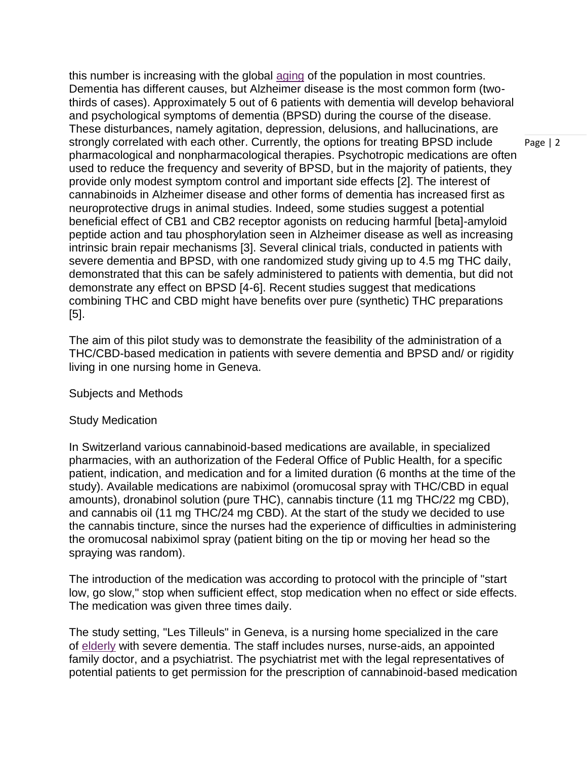this number is increasing with the global [aging](https://go.gale.com/ps/i.do?p=AONE&u=uphoenix&id=GALE%7CA596575642&v=2.1&it=r&sid=ebsco%2Chttps%3A%2F%2Fgaleapps.gale.com%2Fapps%2Fauth) of the population in most countries. Dementia has different causes, but Alzheimer disease is the most common form (twothirds of cases). Approximately 5 out of 6 patients with dementia will develop behavioral and psychological symptoms of dementia (BPSD) during the course of the disease. These disturbances, namely agitation, depression, delusions, and hallucinations, are strongly correlated with each other. Currently, the options for treating BPSD include pharmacological and nonpharmacological therapies. Psychotropic medications are often used to reduce the frequency and severity of BPSD, but in the majority of patients, they provide only modest symptom control and important side effects [2]. The interest of cannabinoids in Alzheimer disease and other forms of dementia has increased first as neuroprotective drugs in animal studies. Indeed, some studies suggest a potential beneficial effect of CB1 and CB2 receptor agonists on reducing harmful [beta]-amyloid peptide action and tau phosphorylation seen in Alzheimer disease as well as increasing intrinsic brain repair mechanisms [3]. Several clinical trials, conducted in patients with severe dementia and BPSD, with one randomized study giving up to 4.5 mg THC daily, demonstrated that this can be safely administered to patients with dementia, but did not demonstrate any effect on BPSD [4-6]. Recent studies suggest that medications combining THC and CBD might have benefits over pure (synthetic) THC preparations [5].

The aim of this pilot study was to demonstrate the feasibility of the administration of a THC/CBD-based medication in patients with severe dementia and BPSD and/ or rigidity living in one nursing home in Geneva.

Subjects and Methods

## Study Medication

In Switzerland various cannabinoid-based medications are available, in specialized pharmacies, with an authorization of the Federal Office of Public Health, for a specific patient, indication, and medication and for a limited duration (6 months at the time of the study). Available medications are nabiximol (oromucosal spray with THC/CBD in equal amounts), dronabinol solution (pure THC), cannabis tincture (11 mg THC/22 mg CBD), and cannabis oil (11 mg THC/24 mg CBD). At the start of the study we decided to use the cannabis tincture, since the nurses had the experience of difficulties in administering the oromucosal nabiximol spray (patient biting on the tip or moving her head so the spraying was random).

The introduction of the medication was according to protocol with the principle of "start low, go slow," stop when sufficient effect, stop medication when no effect or side effects. The medication was given three times daily.

The study setting, "Les Tilleuls" in Geneva, is a nursing home specialized in the care of [elderly](https://go.gale.com/ps/i.do?p=AONE&u=uphoenix&id=GALE%7CA596575642&v=2.1&it=r&sid=ebsco%2Chttps%3A%2F%2Fgaleapps.gale.com%2Fapps%2Fauth) with severe dementia. The staff includes nurses, nurse-aids, an appointed family doctor, and a psychiatrist. The psychiatrist met with the legal representatives of potential patients to get permission for the prescription of cannabinoid-based medication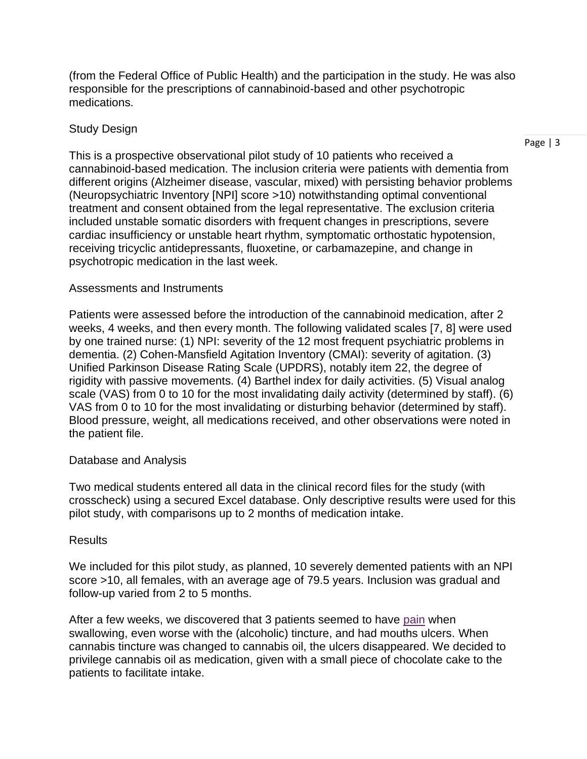(from the Federal Office of Public Health) and the participation in the study. He was also responsible for the prescriptions of cannabinoid-based and other psychotropic medications.

## Study Design

This is a prospective observational pilot study of 10 patients who received a cannabinoid-based medication. The inclusion criteria were patients with dementia from different origins (Alzheimer disease, vascular, mixed) with persisting behavior problems (Neuropsychiatric Inventory [NPI] score >10) notwithstanding optimal conventional treatment and consent obtained from the legal representative. The exclusion criteria included unstable somatic disorders with frequent changes in prescriptions, severe cardiac insufficiency or unstable heart rhythm, symptomatic orthostatic hypotension, receiving tricyclic antidepressants, fluoxetine, or carbamazepine, and change in psychotropic medication in the last week.

## Assessments and Instruments

Patients were assessed before the introduction of the cannabinoid medication, after 2 weeks, 4 weeks, and then every month. The following validated scales [7, 8] were used by one trained nurse: (1) NPI: severity of the 12 most frequent psychiatric problems in dementia. (2) Cohen-Mansfield Agitation Inventory (CMAI): severity of agitation. (3) Unified Parkinson Disease Rating Scale (UPDRS), notably item 22, the degree of rigidity with passive movements. (4) Barthel index for daily activities. (5) Visual analog scale (VAS) from 0 to 10 for the most invalidating daily activity (determined by staff). (6) VAS from 0 to 10 for the most invalidating or disturbing behavior (determined by staff). Blood pressure, weight, all medications received, and other observations were noted in the patient file.

## Database and Analysis

Two medical students entered all data in the clinical record files for the study (with crosscheck) using a secured Excel database. Only descriptive results were used for this pilot study, with comparisons up to 2 months of medication intake.

### Results

We included for this pilot study, as planned, 10 severely demented patients with an NPI score >10, all females, with an average age of 79.5 years. Inclusion was gradual and follow-up varied from 2 to 5 months.

After a few weeks, we discovered that 3 patients seemed to have [pain](https://go.gale.com/ps/i.do?p=AONE&u=uphoenix&id=GALE%7CA596575642&v=2.1&it=r&sid=ebsco%2Chttps%3A%2F%2Fgaleapps.gale.com%2Fapps%2Fauth) when swallowing, even worse with the (alcoholic) tincture, and had mouths ulcers. When cannabis tincture was changed to cannabis oil, the ulcers disappeared. We decided to privilege cannabis oil as medication, given with a small piece of chocolate cake to the patients to facilitate intake.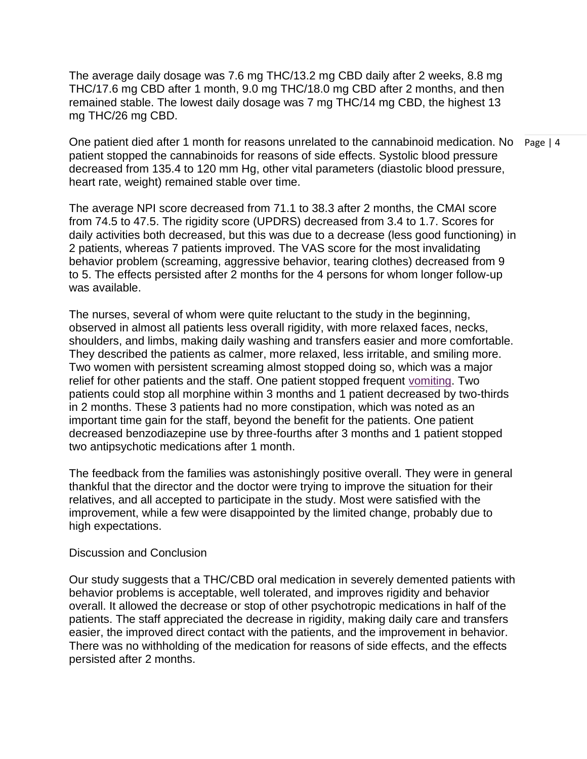The average daily dosage was 7.6 mg THC/13.2 mg CBD daily after 2 weeks, 8.8 mg THC/17.6 mg CBD after 1 month, 9.0 mg THC/18.0 mg CBD after 2 months, and then remained stable. The lowest daily dosage was 7 mg THC/14 mg CBD, the highest 13 mg THC/26 mg CBD.

One patient died after 1 month for reasons unrelated to the cannabinoid medication. No Page | 4 patient stopped the cannabinoids for reasons of side effects. Systolic blood pressure decreased from 135.4 to 120 mm Hg, other vital parameters (diastolic blood pressure, heart rate, weight) remained stable over time.

The average NPI score decreased from 71.1 to 38.3 after 2 months, the CMAI score from 74.5 to 47.5. The rigidity score (UPDRS) decreased from 3.4 to 1.7. Scores for daily activities both decreased, but this was due to a decrease (less good functioning) in 2 patients, whereas 7 patients improved. The VAS score for the most invalidating behavior problem (screaming, aggressive behavior, tearing clothes) decreased from 9 to 5. The effects persisted after 2 months for the 4 persons for whom longer follow-up was available.

The nurses, several of whom were quite reluctant to the study in the beginning, observed in almost all patients less overall rigidity, with more relaxed faces, necks, shoulders, and limbs, making daily washing and transfers easier and more comfortable. They described the patients as calmer, more relaxed, less irritable, and smiling more. Two women with persistent screaming almost stopped doing so, which was a major relief for other patients and the staff. One patient stopped frequent [vomiting.](https://go.gale.com/ps/i.do?p=AONE&u=uphoenix&id=GALE%7CA596575642&v=2.1&it=r&sid=ebsco%2Chttps%3A%2F%2Fgaleapps.gale.com%2Fapps%2Fauth) Two patients could stop all morphine within 3 months and 1 patient decreased by two-thirds in 2 months. These 3 patients had no more constipation, which was noted as an important time gain for the staff, beyond the benefit for the patients. One patient decreased benzodiazepine use by three-fourths after 3 months and 1 patient stopped two antipsychotic medications after 1 month.

The feedback from the families was astonishingly positive overall. They were in general thankful that the director and the doctor were trying to improve the situation for their relatives, and all accepted to participate in the study. Most were satisfied with the improvement, while a few were disappointed by the limited change, probably due to high expectations.

### Discussion and Conclusion

Our study suggests that a THC/CBD oral medication in severely demented patients with behavior problems is acceptable, well tolerated, and improves rigidity and behavior overall. It allowed the decrease or stop of other psychotropic medications in half of the patients. The staff appreciated the decrease in rigidity, making daily care and transfers easier, the improved direct contact with the patients, and the improvement in behavior. There was no withholding of the medication for reasons of side effects, and the effects persisted after 2 months.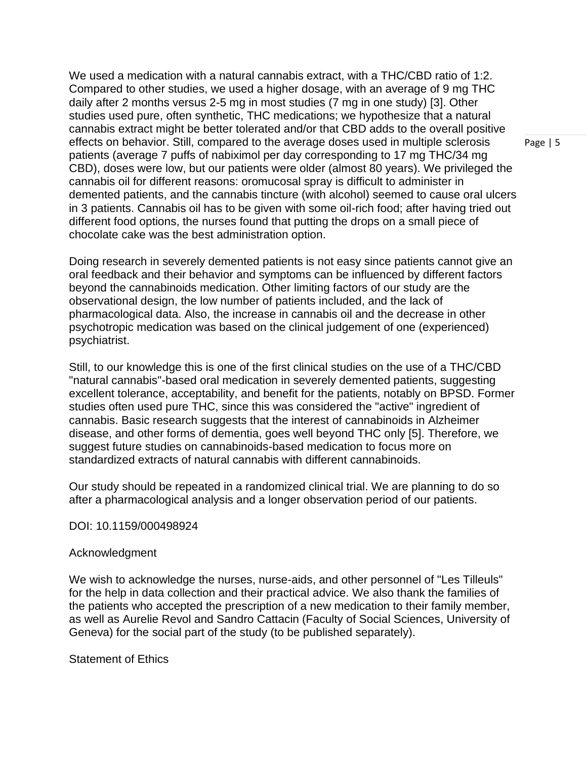We used a medication with a natural cannabis extract, with a THC/CBD ratio of 1:2. Compared to other studies, we used a higher dosage, with an average of 9 mg THC daily after 2 months versus 2-5 mg in most studies (7 mg in one study) [3]. Other studies used pure, often synthetic, THC medications; we hypothesize that a natural cannabis extract might be better tolerated and/or that CBD adds to the overall positive effects on behavior. Still, compared to the average doses used in multiple sclerosis patients (average 7 puffs of nabiximol per day corresponding to 17 mg THC/34 mg CBD), doses were low, but our patients were older (almost 80 years). We privileged the cannabis oil for different reasons: oromucosal spray is difficult to administer in demented patients, and the cannabis tincture (with alcohol) seemed to cause oral ulcers in 3 patients. Cannabis oil has to be given with some oil-rich food; after having tried out different food options, the nurses found that putting the drops on a small piece of chocolate cake was the best administration option.

Doing research in severely demented patients is not easy since patients cannot give an oral feedback and their behavior and symptoms can be influenced by different factors beyond the cannabinoids medication. Other limiting factors of our study are the observational design, the low number of patients included, and the lack of pharmacological data. Also, the increase in cannabis oil and the decrease in other psychotropic medication was based on the clinical judgement of one (experienced) psychiatrist.

Still, to our knowledge this is one of the first clinical studies on the use of a THC/CBD "natural cannabis"-based oral medication in severely demented patients, suggesting excellent tolerance, acceptability, and benefit for the patients, notably on BPSD. Former studies often used pure THC, since this was considered the "active" ingredient of cannabis. Basic research suggests that the interest of cannabinoids in Alzheimer disease, and other forms of dementia, goes well beyond THC only [5]. Therefore, we suggest future studies on cannabinoids-based medication to focus more on standardized extracts of natural cannabis with different cannabinoids.

Our study should be repeated in a randomized clinical trial. We are planning to do so after a pharmacological analysis and a longer observation period of our patients.

### DOI: 10.1159/000498924

### Acknowledgment

We wish to acknowledge the nurses, nurse-aids, and other personnel of "Les Tilleuls" for the help in data collection and their practical advice. We also thank the families of the patients who accepted the prescription of a new medication to their family member, as well as Aurelie Revol and Sandro Cattacin (Faculty of Social Sciences, University of Geneva) for the social part of the study (to be published separately).

Statement of Ethics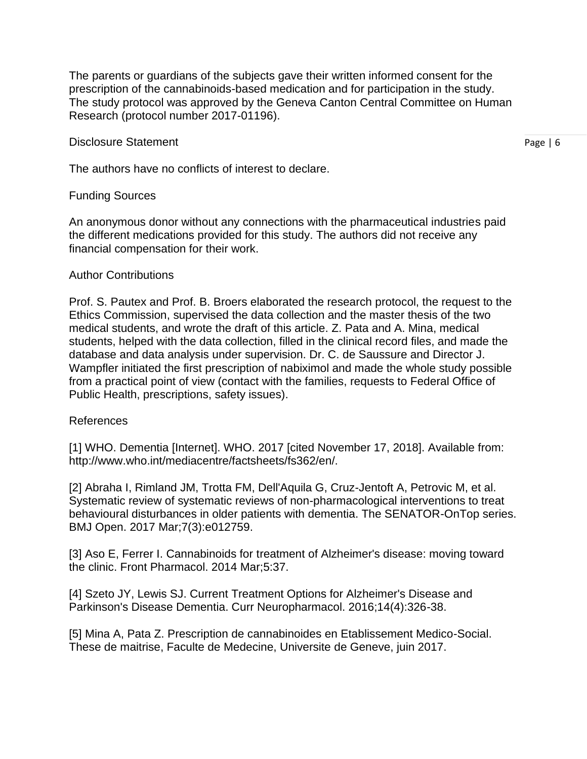The parents or guardians of the subjects gave their written informed consent for the prescription of the cannabinoids-based medication and for participation in the study. The study protocol was approved by the Geneva Canton Central Committee on Human Research (protocol number 2017-01196).

#### Disclosure Statement

Page | 6

The authors have no conflicts of interest to declare.

### Funding Sources

An anonymous donor without any connections with the pharmaceutical industries paid the different medications provided for this study. The authors did not receive any financial compensation for their work.

### Author Contributions

Prof. S. Pautex and Prof. B. Broers elaborated the research protocol, the request to the Ethics Commission, supervised the data collection and the master thesis of the two medical students, and wrote the draft of this article. Z. Pata and A. Mina, medical students, helped with the data collection, filled in the clinical record files, and made the database and data analysis under supervision. Dr. C. de Saussure and Director J. Wampfler initiated the first prescription of nabiximol and made the whole study possible from a practical point of view (contact with the families, requests to Federal Office of Public Health, prescriptions, safety issues).

### References

[1] WHO. Dementia [Internet]. WHO. 2017 [cited November 17, 2018]. Available from: http://www.who.int/mediacentre/factsheets/fs362/en/.

[2] Abraha I, Rimland JM, Trotta FM, Dell'Aquila G, Cruz-Jentoft A, Petrovic M, et al. Systematic review of systematic reviews of non-pharmacological interventions to treat behavioural disturbances in older patients with dementia. The SENATOR-OnTop series. BMJ Open. 2017 Mar;7(3):e012759.

[3] Aso E, Ferrer I. Cannabinoids for treatment of Alzheimer's disease: moving toward the clinic. Front Pharmacol. 2014 Mar;5:37.

[4] Szeto JY, Lewis SJ. Current Treatment Options for Alzheimer's Disease and Parkinson's Disease Dementia. Curr Neuropharmacol. 2016;14(4):326-38.

[5] Mina A, Pata Z. Prescription de cannabinoides en Etablissement Medico-Social. These de maitrise, Faculte de Medecine, Universite de Geneve, juin 2017.